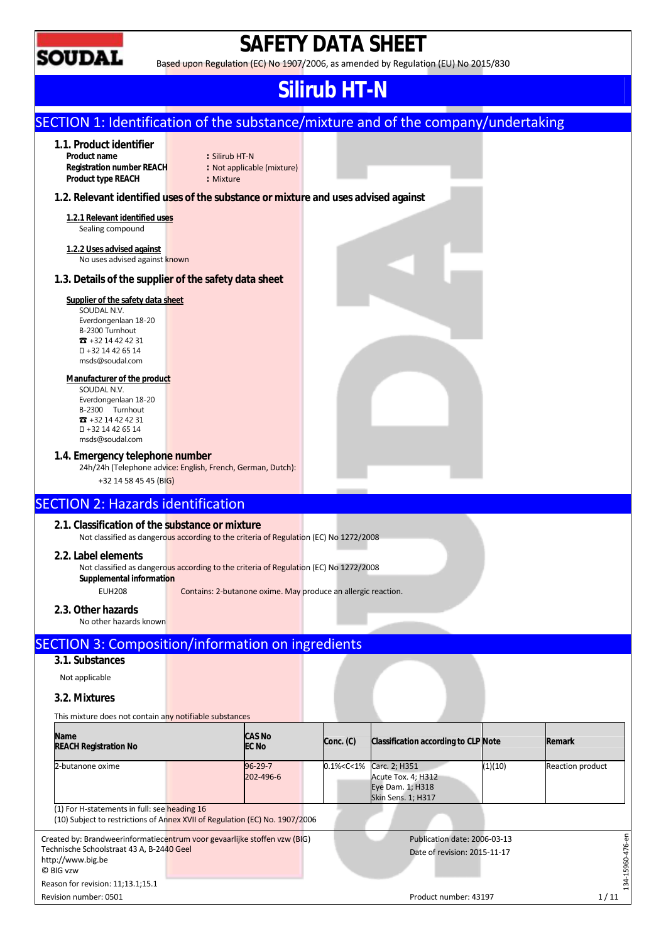

# **SAFETY DATA SHEET**

Based upon Regulation (EC) No 1907/2006, as amended by Regulation (EU) No 2015/830

# **Silirub HT-N**

|                                                                                                                                                                                                                                                                      |                             |                                                               |                                                                                                                  | SECTION 1: Identification of the substance/mixture and of the company/undertaking |         |                  |
|----------------------------------------------------------------------------------------------------------------------------------------------------------------------------------------------------------------------------------------------------------------------|-----------------------------|---------------------------------------------------------------|------------------------------------------------------------------------------------------------------------------|-----------------------------------------------------------------------------------|---------|------------------|
| 1.1. Product identifier<br>Product name<br><b>Registration number REACH</b><br>Product type REACH                                                                                                                                                                    | : Silirub HT-N<br>: Mixture | : Not applicable (mixture)                                    |                                                                                                                  |                                                                                   |         |                  |
| 1.2. Relevant identified uses of the substance or mixture and uses advised against                                                                                                                                                                                   |                             |                                                               |                                                                                                                  |                                                                                   |         |                  |
| 1.2.1 Relevant identified uses<br>Sealing compound                                                                                                                                                                                                                   |                             |                                                               |                                                                                                                  |                                                                                   |         |                  |
| 1.2.2 Uses advised against<br>No uses advised against known                                                                                                                                                                                                          |                             |                                                               |                                                                                                                  |                                                                                   |         |                  |
| 1.3. Details of the supplier of the safety data sheet                                                                                                                                                                                                                |                             |                                                               |                                                                                                                  |                                                                                   |         |                  |
| Supplier of the safety data sheet<br>SOUDAL N.V.<br>Everdongenlaan 18-20<br>B-2300 Turnhout<br>$22 + 3214424231$<br>+32 14 42 65 14<br>msds@soudal.com<br>Manufacturer of the product<br>SOUDAL N.V.<br>Everdongenlaan 18-20<br>B-2300 Turnhout<br>$32 + 3214424231$ |                             |                                                               |                                                                                                                  |                                                                                   |         |                  |
| +32 14 42 65 14<br>msds@soudal.com<br>1.4. Emergency telephone number<br>24h/24h (Telephone advice: English, French, German, Dutch):                                                                                                                                 |                             |                                                               |                                                                                                                  |                                                                                   |         |                  |
| +32 14 58 45 45 (BIG)                                                                                                                                                                                                                                                |                             |                                                               |                                                                                                                  |                                                                                   |         |                  |
| <b>SECTION 2: Hazards identification</b>                                                                                                                                                                                                                             |                             |                                                               |                                                                                                                  |                                                                                   |         |                  |
| 2.1. Classification of the substance or mixture<br>Not classified as dangerous according to the criteria of Regulation (EC) No 1272/2008                                                                                                                             |                             |                                                               |                                                                                                                  |                                                                                   |         |                  |
| 2.2. Label elements<br>Not classified as dangerous according to the criteria of Regulation (EC) No 1272/2008<br>Supplemental information<br><b>EUH208</b><br>2.3. Other hazards                                                                                      |                             | Contains: 2-butanone oxime. May produce an allergic reaction. |                                                                                                                  |                                                                                   |         |                  |
| No other hazards known                                                                                                                                                                                                                                               |                             |                                                               |                                                                                                                  |                                                                                   |         |                  |
| <b>SECTION 3: Composition/information on ingredients</b>                                                                                                                                                                                                             |                             |                                                               |                                                                                                                  |                                                                                   |         |                  |
| 3.1. Substances                                                                                                                                                                                                                                                      |                             |                                                               |                                                                                                                  |                                                                                   |         |                  |
| Not applicable                                                                                                                                                                                                                                                       |                             |                                                               |                                                                                                                  |                                                                                   |         |                  |
| 3.2. Mixtures                                                                                                                                                                                                                                                        |                             |                                                               |                                                                                                                  |                                                                                   |         |                  |
| This mixture does not contain any notifiable substances                                                                                                                                                                                                              |                             |                                                               |                                                                                                                  |                                                                                   |         |                  |
| <b>Name</b><br><b>REACH Registration No</b>                                                                                                                                                                                                                          |                             | CAS No<br>EC No                                               | Conc. (C)                                                                                                        | Classification according to CLP Note                                              |         | Remark           |
| 2-butanone oxime                                                                                                                                                                                                                                                     |                             | 96-29-7<br>202-496-6                                          | 0.1% <c<1%< td=""><td>Carc. 2; H351<br/>Acute Tox. 4; H312</td><td>(1)(10)</td><td>Reaction product</td></c<1%<> | Carc. 2; H351<br>Acute Tox. 4; H312                                               | (1)(10) | Reaction product |
|                                                                                                                                                                                                                                                                      |                             |                                                               |                                                                                                                  | Eye Dam. 1; H318<br>Skin Sens. 1; H317                                            |         |                  |
| (1) For H-statements in full: see heading 16<br>(10) Subject to restrictions of Annex XVII of Regulation (EC) No. 1907/2006                                                                                                                                          |                             |                                                               |                                                                                                                  |                                                                                   |         |                  |

Revision number: 0501 1/11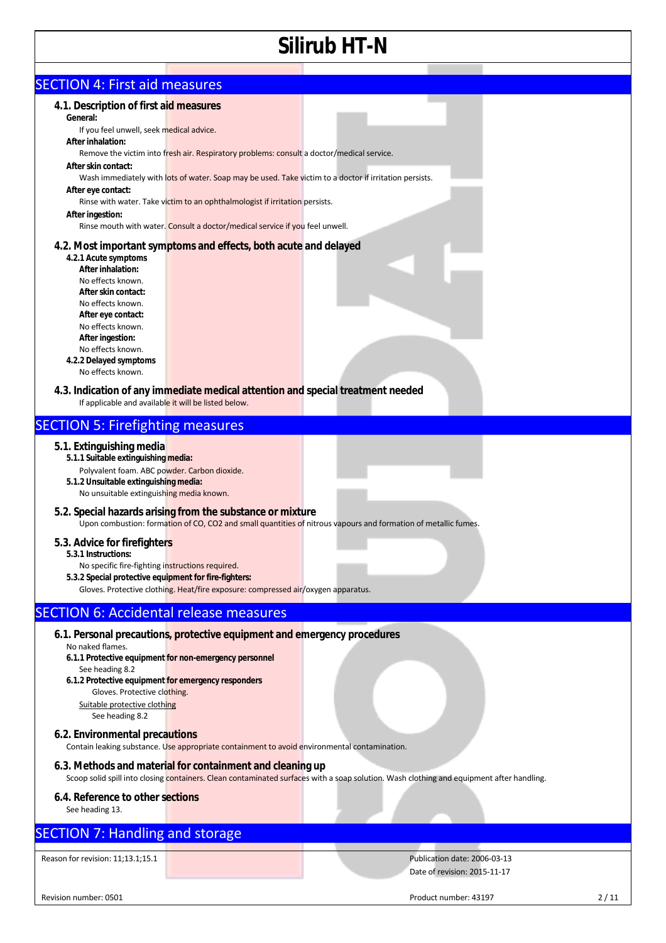| <b>SECTION 4: First aid measures</b>                                                                                                                                                                                                                                                                                                                                     |                                                                                                                                                                                                                                                                                                                                                                                                                                        |                                                                                                                                          |      |
|--------------------------------------------------------------------------------------------------------------------------------------------------------------------------------------------------------------------------------------------------------------------------------------------------------------------------------------------------------------------------|----------------------------------------------------------------------------------------------------------------------------------------------------------------------------------------------------------------------------------------------------------------------------------------------------------------------------------------------------------------------------------------------------------------------------------------|------------------------------------------------------------------------------------------------------------------------------------------|------|
| 4.1. Description of first aid measures<br>General:<br>If you feel unwell, seek medical advice.<br>After inhalation:<br>After skin contact:<br>After eye contact:<br>After ingestion:<br>4.2.1 Acute symptoms<br>After inhalation:<br>No effects known.<br>After skin contact:<br>No effects known.<br>After eye contact:<br>No effects known.<br>After ingestion:        | Remove the victim into fresh air. Respiratory problems: consult a doctor/medical service.<br>Wash immediately with lots of water. Soap may be used. Take victim to a doctor if irritation persists.<br>Rinse with water. Take victim to an ophthalmologist if irritation persists.<br>Rinse mouth with water. Consult a doctor/medical service if you feel unwell.<br>4.2. Most important symptoms and effects, both acute and delayed |                                                                                                                                          |      |
| No effects known.<br>4.2.2 Delayed symptoms                                                                                                                                                                                                                                                                                                                              |                                                                                                                                                                                                                                                                                                                                                                                                                                        |                                                                                                                                          |      |
| No effects known.<br>If applicable and available it will be listed below.                                                                                                                                                                                                                                                                                                | 4.3. Indication of any immediate medical attention and special treatment needed                                                                                                                                                                                                                                                                                                                                                        |                                                                                                                                          |      |
| <b>SECTION 5: Firefighting measures</b>                                                                                                                                                                                                                                                                                                                                  |                                                                                                                                                                                                                                                                                                                                                                                                                                        |                                                                                                                                          |      |
| 5.1. Extinguishing media<br>5.1.1 Suitable extinguishing media:<br>Polyvalent foam. ABC powder. Carbon dioxide.<br>5.1.2 Unsuitable extinguishing media:<br>No unsuitable extinguishing media known.<br>5.3. Advice for firefighters<br>5.3.1 Instructions:<br>No specific fire-fighting instructions required.<br>5.3.2 Special protective equipment for fire-fighters: | 5.2. Special hazards arising from the substance or mixture<br>Gloves. Protective clothing. Heat/fire exposure: compressed air/oxygen apparatus.                                                                                                                                                                                                                                                                                        | Upon combustion: formation of CO, CO2 and small quantities of nitrous vapours and formation of metallic fumes.                           |      |
| <b>SECTION 6: Accidental release measures</b>                                                                                                                                                                                                                                                                                                                            |                                                                                                                                                                                                                                                                                                                                                                                                                                        |                                                                                                                                          |      |
| No naked flames.<br>See heading 8.2<br>6.1.2 Protective equipment for emergency responders<br>Gloves. Protective clothing.<br>Suitable protective clothing<br>See heading 8.2<br>6.2. Environmental precautions                                                                                                                                                          | 6.1. Personal precautions, protective equipment and emergency procedures<br>6.1.1 Protective equipment for non-emergency personnel                                                                                                                                                                                                                                                                                                     |                                                                                                                                          |      |
|                                                                                                                                                                                                                                                                                                                                                                          | Contain leaking substance. Use appropriate containment to avoid environmental contamination.                                                                                                                                                                                                                                                                                                                                           |                                                                                                                                          |      |
|                                                                                                                                                                                                                                                                                                                                                                          | 6.3. Methods and material for containment and cleaning up                                                                                                                                                                                                                                                                                                                                                                              | Scoop solid spill into closing containers. Clean contaminated surfaces with a soap solution. Wash clothing and equipment after handling. |      |
| 6.4. Reference to other sections<br>See heading 13.                                                                                                                                                                                                                                                                                                                      |                                                                                                                                                                                                                                                                                                                                                                                                                                        |                                                                                                                                          |      |
| <b>SECTION 7: Handling and storage</b>                                                                                                                                                                                                                                                                                                                                   |                                                                                                                                                                                                                                                                                                                                                                                                                                        |                                                                                                                                          |      |
| Reason for revision: 11;13.1;15.1                                                                                                                                                                                                                                                                                                                                        |                                                                                                                                                                                                                                                                                                                                                                                                                                        | Publication date: 2006-03-13<br>Date of revision: 2015-11-17                                                                             |      |
| Revision number: 0501                                                                                                                                                                                                                                                                                                                                                    |                                                                                                                                                                                                                                                                                                                                                                                                                                        | Product number: 43197                                                                                                                    | 2/11 |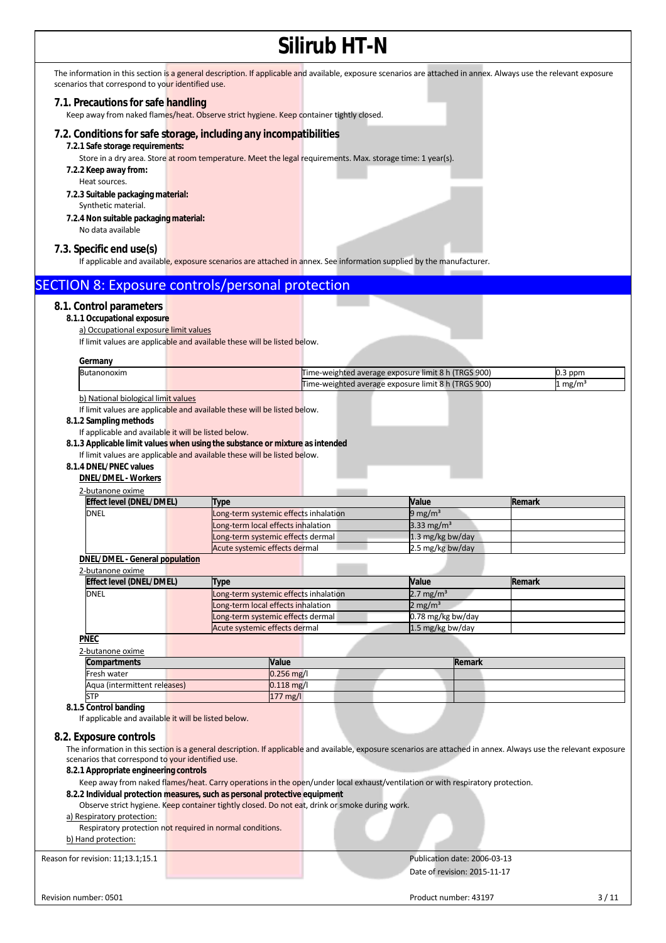|                                                                                                                                |                                                                                                            | JIII UD ∏TI"N |                                                                                                                                                                   |                                                                                                                                                                   |
|--------------------------------------------------------------------------------------------------------------------------------|------------------------------------------------------------------------------------------------------------|---------------|-------------------------------------------------------------------------------------------------------------------------------------------------------------------|-------------------------------------------------------------------------------------------------------------------------------------------------------------------|
| scenarios that correspond to your identified use.                                                                              |                                                                                                            |               | The information in this section is a general description. If applicable and available, exposure scenarios are attached in annex. Always use the relevant exposure |                                                                                                                                                                   |
| 7.1. Precautions for safe handling<br>Keep away from naked flames/heat. Observe strict hygiene. Keep container tightly closed. |                                                                                                            |               |                                                                                                                                                                   |                                                                                                                                                                   |
| 7.2. Conditions for safe storage, including any incompatibilities<br>7.2.1 Safe storage requirements:<br>7.2.2 Keep away from: | Store in a dry area. Store at room temperature. Meet the legal requirements. Max. storage time: 1 year(s). |               |                                                                                                                                                                   |                                                                                                                                                                   |
| Heat sources.<br>7.2.3 Suitable packaging material:                                                                            |                                                                                                            |               |                                                                                                                                                                   |                                                                                                                                                                   |
| Synthetic material.<br>7.2.4 Non suitable packaging material:<br>No data available                                             |                                                                                                            |               |                                                                                                                                                                   |                                                                                                                                                                   |
| 7.3. Specific end use(s)                                                                                                       |                                                                                                            |               | If applicable and available, exposure scenarios are attached in annex. See information supplied by the manufacturer.                                              |                                                                                                                                                                   |
| SECTION 8: Exposure controls/personal protection                                                                               |                                                                                                            |               |                                                                                                                                                                   |                                                                                                                                                                   |
| 8.1. Control parameters<br>8.1.1 Occupational exposure<br>a) Occupational exposure limit values                                | If limit values are applicable and available these will be listed below.                                   |               |                                                                                                                                                                   |                                                                                                                                                                   |
| Germany                                                                                                                        |                                                                                                            |               |                                                                                                                                                                   |                                                                                                                                                                   |
| Butanonoxim                                                                                                                    |                                                                                                            |               | Time-weighted average exposure limit 8 h (TRGS 900)                                                                                                               | 0.3 ppm                                                                                                                                                           |
| b) National biological limit values                                                                                            |                                                                                                            |               | Time-weighted average exposure limit 8 h (TRGS 900)                                                                                                               | 1 mg/m <sup>3</sup>                                                                                                                                               |
| 8.1.3 Applicable limit values when using the substance or mixture as intended<br>8.1.4 DNEL/PNEC values                        | If limit values are applicable and available these will be listed below.                                   |               |                                                                                                                                                                   |                                                                                                                                                                   |
| <b>DNEL/DMEL - Workers</b>                                                                                                     |                                                                                                            |               |                                                                                                                                                                   |                                                                                                                                                                   |
| 2-butanone oxime<br>Effect level (DNEL/DMEL)                                                                                   | Type                                                                                                       |               | Value                                                                                                                                                             | Remark                                                                                                                                                            |
| <b>DNEL</b>                                                                                                                    | Long-term systemic effects inhalation                                                                      |               | 9 mg/m <sup>3</sup>                                                                                                                                               |                                                                                                                                                                   |
|                                                                                                                                | Long-term local effects inhalation                                                                         |               | 3.33 mg/m <sup>3</sup>                                                                                                                                            |                                                                                                                                                                   |
|                                                                                                                                | ong-term systemic effects dermal                                                                           |               | 1.3 mg/kg bw/day                                                                                                                                                  |                                                                                                                                                                   |
|                                                                                                                                | Acute systemic effects dermal                                                                              |               | 2.5 mg/kg bw/day                                                                                                                                                  |                                                                                                                                                                   |
| <b>DNEL/DMEL - General population</b><br>2-butanone oxime                                                                      |                                                                                                            |               |                                                                                                                                                                   |                                                                                                                                                                   |
| Effect level (DNEL/DMEL)                                                                                                       | <b>Type</b>                                                                                                |               | Value                                                                                                                                                             | Remark                                                                                                                                                            |
| <b>DNEL</b>                                                                                                                    | Long-term systemic effects inhalation                                                                      |               | 2.7 mg/m <sup>3</sup>                                                                                                                                             |                                                                                                                                                                   |
|                                                                                                                                | Long-term local effects inhalation                                                                         |               | 2 mg/m $3$                                                                                                                                                        |                                                                                                                                                                   |
|                                                                                                                                | Long-term systemic effects dermal<br>Acute systemic effects dermal                                         |               | 0.78 mg/kg bw/day<br>1.5 mg/kg bw/day                                                                                                                             |                                                                                                                                                                   |
| <b>PNEC</b>                                                                                                                    |                                                                                                            |               |                                                                                                                                                                   |                                                                                                                                                                   |
| 2-butanone oxime                                                                                                               |                                                                                                            |               |                                                                                                                                                                   |                                                                                                                                                                   |
| Compartments                                                                                                                   | Value                                                                                                      |               | Remark                                                                                                                                                            |                                                                                                                                                                   |
| Fresh water<br>Aqua (intermittent releases)                                                                                    | $0.256$ mg/l<br>$0.118$ mg/l                                                                               |               |                                                                                                                                                                   |                                                                                                                                                                   |
| <b>STP</b>                                                                                                                     | 177 mg/l                                                                                                   |               |                                                                                                                                                                   |                                                                                                                                                                   |
| 8.1.5 Control banding<br>If applicable and available it will be listed below.                                                  |                                                                                                            |               |                                                                                                                                                                   |                                                                                                                                                                   |
| 8.2. Exposure controls                                                                                                         |                                                                                                            |               |                                                                                                                                                                   | The information in this section is a general description. If applicable and available, exposure scenarios are attached in annex. Always use the relevant exposure |
| scenarios that correspond to your identified use.<br>8.2.1 Appropriate engineering controls                                    |                                                                                                            |               | Keep away from naked flames/heat. Carry operations in the open/under local exhaust/ventilation or with respiratory protection.                                    |                                                                                                                                                                   |
| 8.2.2 Individual protection measures, such as personal protective equipment                                                    | Observe strict hygiene. Keep container tightly closed. Do not eat, drink or smoke during work.             |               |                                                                                                                                                                   |                                                                                                                                                                   |
| a) Respiratory protection:                                                                                                     |                                                                                                            |               |                                                                                                                                                                   |                                                                                                                                                                   |
| Respiratory protection not required in normal conditions.<br>b) Hand protection:                                               |                                                                                                            |               |                                                                                                                                                                   |                                                                                                                                                                   |
| Reason for revision: 11;13.1;15.1                                                                                              |                                                                                                            |               | Publication date: 2006-03-13<br>Date of revision: 2015-11-17                                                                                                      |                                                                                                                                                                   |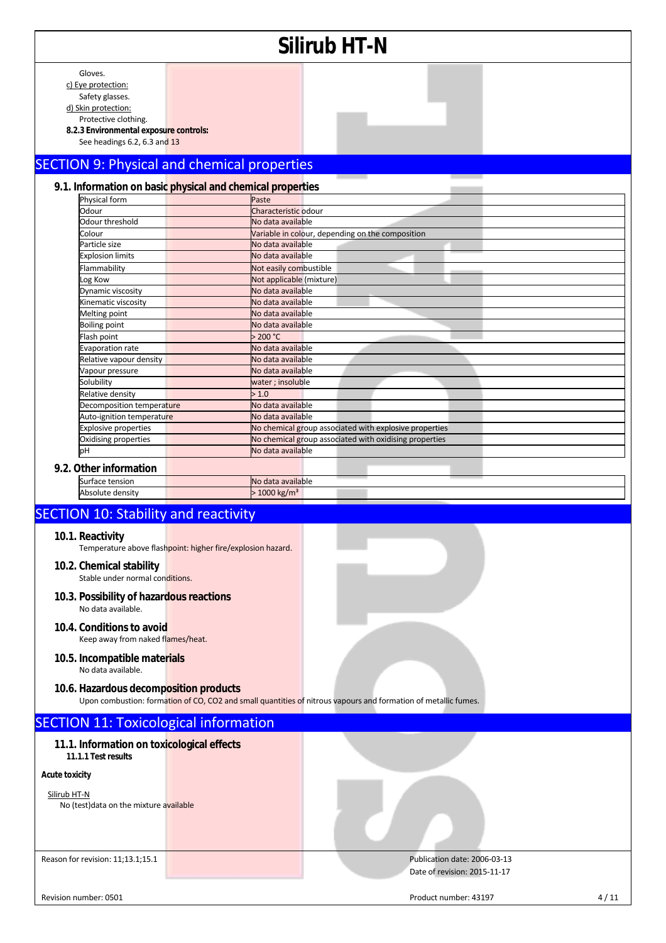|                                                                                                                                                                           |                                                    | Silirub HT-N                                                                                                   |      |
|---------------------------------------------------------------------------------------------------------------------------------------------------------------------------|----------------------------------------------------|----------------------------------------------------------------------------------------------------------------|------|
| Gloves.<br>c) Eye protection:<br>Safety glasses.<br>d) Skin protection:<br>Protective clothing.<br>8.2.3 Environmental exposure controls:<br>See headings 6.2, 6.3 and 13 |                                                    |                                                                                                                |      |
|                                                                                                                                                                           |                                                    |                                                                                                                |      |
| <b>SECTION 9: Physical and chemical properties</b>                                                                                                                        |                                                    |                                                                                                                |      |
| 9.1. Information on basic physical and chemical properties<br>Physical form                                                                                               | Paste                                              |                                                                                                                |      |
| Odour                                                                                                                                                                     | Characteristic odour                               |                                                                                                                |      |
| Odour threshold                                                                                                                                                           | No data available                                  |                                                                                                                |      |
| Colour                                                                                                                                                                    |                                                    | Variable in colour, depending on the composition                                                               |      |
| Particle size                                                                                                                                                             | No data available                                  |                                                                                                                |      |
| <b>Explosion limits</b>                                                                                                                                                   | No data available                                  |                                                                                                                |      |
| Flammability                                                                                                                                                              | Not easily combustible<br>Not applicable (mixture) |                                                                                                                |      |
| Log Kow<br>Dynamic viscosity                                                                                                                                              | No data available                                  |                                                                                                                |      |
| Kinematic viscosity                                                                                                                                                       | No data available                                  |                                                                                                                |      |
| Melting point                                                                                                                                                             | No data available                                  |                                                                                                                |      |
| <b>Boiling point</b>                                                                                                                                                      | No data available                                  |                                                                                                                |      |
| Flash point                                                                                                                                                               | 200 °C                                             |                                                                                                                |      |
| <b>Evaporation rate</b>                                                                                                                                                   | No data available                                  |                                                                                                                |      |
| Relative vapour density                                                                                                                                                   | No data available                                  |                                                                                                                |      |
| Vapour pressure                                                                                                                                                           | No data available                                  |                                                                                                                |      |
| Solubility                                                                                                                                                                | water; insoluble<br>> 1.0                          |                                                                                                                |      |
| Relative density<br>Decomposition temperature                                                                                                                             | No data available                                  |                                                                                                                |      |
| Auto-ignition temperature                                                                                                                                                 | No data available                                  |                                                                                                                |      |
| <b>Explosive properties</b>                                                                                                                                               |                                                    | No chemical group associated with explosive properties                                                         |      |
| Oxidising properties                                                                                                                                                      |                                                    | No chemical group associated with oxidising properties                                                         |      |
| pH                                                                                                                                                                        | No data available                                  |                                                                                                                |      |
| 9.2. Other information                                                                                                                                                    |                                                    |                                                                                                                |      |
| Surface tension                                                                                                                                                           | No data available                                  |                                                                                                                |      |
| Absolute density                                                                                                                                                          | $>1000$ kg/m <sup>3</sup>                          |                                                                                                                |      |
|                                                                                                                                                                           |                                                    |                                                                                                                |      |
| <b>SECTION 10: Stability and reactivity</b><br>10.1. Reactivity<br>Temperature above flashpoint: higher fire/explosion hazard.                                            |                                                    |                                                                                                                |      |
| 10.2. Chemical stability<br>Stable under normal conditions.                                                                                                               |                                                    |                                                                                                                |      |
| 10.3. Possibility of hazardous reactions<br>No data available.                                                                                                            |                                                    |                                                                                                                |      |
| 10.4. Conditions to avoid<br>Keep away from naked flames/heat.                                                                                                            |                                                    |                                                                                                                |      |
| 10.5. Incompatible materials<br>No data available.                                                                                                                        |                                                    |                                                                                                                |      |
| 10.6. Hazardous decomposition products                                                                                                                                    |                                                    | Upon combustion: formation of CO, CO2 and small quantities of nitrous vapours and formation of metallic fumes. |      |
| <b>SECTION 11: Toxicological information</b>                                                                                                                              |                                                    |                                                                                                                |      |
| 11.1. Information on toxicological effects<br>11.1.1 Test results                                                                                                         |                                                    |                                                                                                                |      |
|                                                                                                                                                                           |                                                    |                                                                                                                |      |
| <b>Acute toxicity</b><br>Silirub HT-N<br>No (test) data on the mixture available                                                                                          |                                                    |                                                                                                                |      |
| Reason for revision: 11;13.1;15.1                                                                                                                                         |                                                    | Publication date: 2006-03-13<br>Date of revision: 2015-11-17                                                   |      |
| Revision number: 0501                                                                                                                                                     |                                                    | Product number: 43197                                                                                          | 4/11 |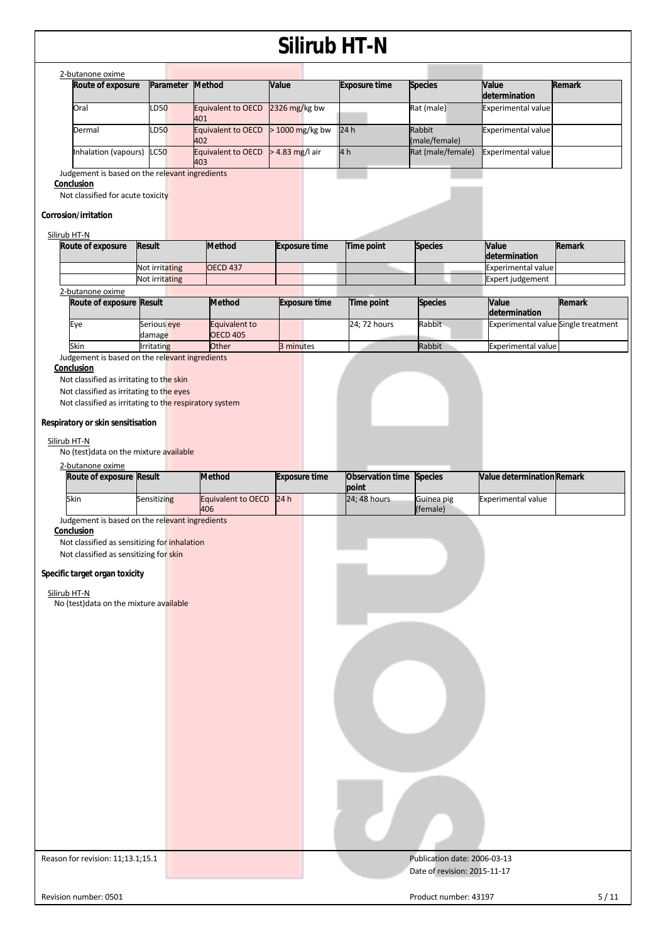|                                                              |                       |                                  |                 |                      | JIII UN III-IV       |                                    |                                     |        |
|--------------------------------------------------------------|-----------------------|----------------------------------|-----------------|----------------------|----------------------|------------------------------------|-------------------------------------|--------|
| 2-butanone oxime                                             |                       |                                  |                 |                      |                      |                                    |                                     |        |
| Route of exposure                                            | Parameter             | Method                           | Value           |                      | <b>Exposure time</b> | <b>Species</b>                     | Value<br>determination              | Remark |
| Oral                                                         | LD50                  | Equivalent to OECD               | 2326 mg/kg bw   |                      |                      | Rat (male)                         | Experimental value                  |        |
| Dermal                                                       | LD50                  | 401<br><b>Equivalent to OECD</b> | > 1000 mg/kg bw |                      | 24 h                 | Rabbit                             | Experimental value                  |        |
| Inhalation (vapours)                                         | <b>LC50</b>           | 402<br>Equivalent to OECD        | > 4.83 mg/l air |                      | 4 <sub>h</sub>       | (male/female)<br>Rat (male/female) | Experimental value                  |        |
|                                                              |                       | 403                              |                 |                      |                      |                                    |                                     |        |
| Judgement is based on the relevant ingredients<br>Conclusion |                       |                                  |                 |                      |                      |                                    |                                     |        |
| Not classified for acute toxicity                            |                       |                                  |                 |                      |                      |                                    |                                     |        |
| Corrosion/irritation                                         |                       |                                  |                 |                      |                      |                                    |                                     |        |
|                                                              |                       |                                  |                 |                      |                      |                                    |                                     |        |
| Silirub HT-N<br>Route of exposure                            | <b>Result</b>         | <b>Method</b>                    |                 | <b>Exposure time</b> | Time point           | <b>Species</b>                     | Value                               | Remark |
|                                                              |                       |                                  |                 |                      |                      |                                    | determination                       |        |
|                                                              | Not irritating        | <b>OECD 437</b>                  |                 |                      |                      |                                    | <b>Experimental value</b>           |        |
| 2-butanone oxime                                             | Not irritating        |                                  |                 |                      |                      |                                    | Expert judgement                    |        |
| Route of exposure Result                                     |                       | <b>Method</b>                    |                 | <b>Exposure time</b> | Time point           | <b>Species</b>                     | Value                               | Remark |
|                                                              |                       |                                  |                 |                      |                      |                                    | determination                       |        |
| Eye                                                          | Serious eye<br>damage | Equivalent to<br><b>OECD 405</b> |                 |                      | 24; 72 hours         | Rabbit                             | Experimental value Single treatment |        |
| Skin                                                         | Irritating            | Other                            | 3 minutes       |                      |                      | Rabbit                             | <b>Experimental value</b>           |        |
| Judgement is based on the relevant ingredients               |                       |                                  |                 |                      |                      |                                    |                                     |        |
| Conclusion<br>Not classified as irritating to the skin       |                       |                                  |                 |                      |                      |                                    |                                     |        |
| Not classified as irritating to the eyes                     |                       |                                  |                 |                      |                      |                                    |                                     |        |
| Not classified as irritating to the respiratory system       |                       |                                  |                 |                      |                      |                                    |                                     |        |
|                                                              |                       |                                  |                 |                      |                      |                                    |                                     |        |
| Respiratory or skin sensitisation                            |                       |                                  |                 |                      |                      |                                    |                                     |        |
|                                                              |                       |                                  |                 |                      |                      |                                    |                                     |        |
| Silirub HT-N<br>No (test) data on the mixture available      |                       |                                  |                 |                      |                      |                                    |                                     |        |
| 2-butanone oxime                                             |                       |                                  |                 |                      |                      |                                    |                                     |        |
| Route of exposure Result                                     |                       | Method                           |                 | <b>Exposure time</b> | Observation time     | <b>Species</b>                     | Value determination Remark          |        |
|                                                              |                       |                                  |                 |                      | point                |                                    |                                     |        |
| Skin                                                         | Sensitizing           | Equivalent to OECD               | 24h             |                      | 24; 48 hours         | Guinea pig                         | <b>Experimental value</b>           |        |
| Judgement is based on the relevant ingredients               |                       | 406                              |                 |                      |                      | (female)                           |                                     |        |
| Conclusion                                                   |                       |                                  |                 |                      |                      |                                    |                                     |        |
| Not classified as sensitizing for inhalation                 |                       |                                  |                 |                      |                      |                                    |                                     |        |
| Not classified as sensitizing for skin                       |                       |                                  |                 |                      |                      |                                    |                                     |        |
| Specific target organ toxicity                               |                       |                                  |                 |                      |                      |                                    |                                     |        |
|                                                              |                       |                                  |                 |                      |                      |                                    |                                     |        |
| Silirub HT-N                                                 |                       |                                  |                 |                      |                      |                                    |                                     |        |
| No (test) data on the mixture available                      |                       |                                  |                 |                      |                      |                                    |                                     |        |
|                                                              |                       |                                  |                 |                      |                      |                                    |                                     |        |
|                                                              |                       |                                  |                 |                      |                      |                                    |                                     |        |
|                                                              |                       |                                  |                 |                      |                      |                                    |                                     |        |
|                                                              |                       |                                  |                 |                      |                      |                                    |                                     |        |
|                                                              |                       |                                  |                 |                      |                      |                                    |                                     |        |
|                                                              |                       |                                  |                 |                      |                      |                                    |                                     |        |
|                                                              |                       |                                  |                 |                      |                      |                                    |                                     |        |
|                                                              |                       |                                  |                 |                      |                      |                                    |                                     |        |
|                                                              |                       |                                  |                 |                      |                      |                                    |                                     |        |
|                                                              |                       |                                  |                 |                      |                      |                                    |                                     |        |
|                                                              |                       |                                  |                 |                      |                      |                                    |                                     |        |
|                                                              |                       |                                  |                 |                      |                      |                                    |                                     |        |
|                                                              |                       |                                  |                 |                      |                      |                                    |                                     |        |
|                                                              |                       |                                  |                 |                      |                      |                                    |                                     |        |
|                                                              |                       |                                  |                 |                      |                      |                                    |                                     |        |
|                                                              |                       |                                  |                 |                      |                      |                                    |                                     |        |
|                                                              |                       |                                  |                 |                      |                      |                                    |                                     |        |
|                                                              |                       |                                  |                 |                      |                      |                                    |                                     |        |
|                                                              |                       |                                  |                 |                      |                      |                                    |                                     |        |
| Reason for revision: 11;13.1;15.1                            |                       |                                  |                 |                      |                      | Publication date: 2006-03-13       |                                     |        |
|                                                              |                       |                                  |                 |                      |                      | Date of revision: 2015-11-17       |                                     |        |
|                                                              |                       |                                  |                 |                      |                      |                                    |                                     |        |
| Revision number: 0501                                        |                       |                                  |                 |                      |                      | Product number: 43197              |                                     | 5/11   |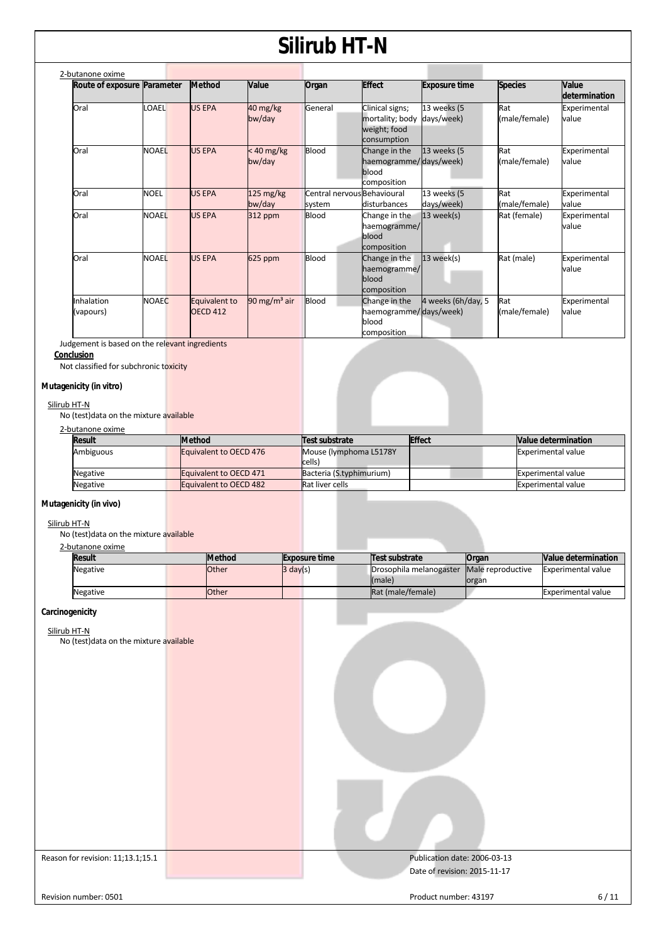| 2-butanone oxime            |              |                                  |                               |                                       |                                                                   |                           |                      |                        |
|-----------------------------|--------------|----------------------------------|-------------------------------|---------------------------------------|-------------------------------------------------------------------|---------------------------|----------------------|------------------------|
| Route of exposure Parameter |              | <b>Method</b>                    | <b>Value</b>                  | Organ                                 | <b>Effect</b>                                                     | <b>Exposure time</b>      | <b>Species</b>       | Value<br>determination |
| Oral                        | LOAEL        | <b>US EPA</b>                    | 40 mg/kg<br>bw/day            | General                               | Clinical signs;<br>mortality; body<br>weight; food<br>consumption | 13 weeks (5<br>days/week) | Rat<br>(male/female) | Experimental<br>value  |
| Oral                        | <b>NOAEL</b> | <b>US EPA</b>                    | $< 40$ mg/kg<br>bw/day        | <b>Blood</b>                          | Change in the<br>haemogramme/days/week)<br>blood<br>composition   | 13 weeks (5               | Rat<br>(male/female) | Experimental<br>value  |
| Oral                        | <b>NOEL</b>  | <b>US EPA</b>                    | $125 \text{ mg/kg}$<br>bw/day | Central nervous Behavioural<br>system | disturbances                                                      | 13 weeks (5<br>days/week) | Rat<br>(male/female) | Experimental<br>value  |
| Oral                        | <b>NOAEL</b> | <b>US EPA</b>                    | 312 ppm                       | <b>Blood</b>                          | Change in the<br>haemogramme/<br>blood<br>composition             | $13$ week(s)              | Rat (female)         | Experimental<br>value  |
| Oral                        | <b>NOAEL</b> | <b>US EPA</b>                    | 625 ppm                       | <b>Blood</b>                          | Change in the<br>haemogramme/<br>blood<br>composition             | $13$ week(s)              | Rat (male)           | Experimental<br>value  |
| Inhalation<br>(vapours)     | <b>NOAEC</b> | Equivalent to<br><b>OECD 412</b> | 90 mg/m <sup>3</sup> air      | Blood                                 | Change in the<br>haemogramme/days/week)<br>blood<br>composition   | 4 weeks (6h/day, 5        | Rat<br>(male/female) | Experimental<br>value  |

Judgement is based on the relevant ingredients

**Conclusion** 

Not classified for subchronic toxicity

### **Mutagenicity (in vitro)**

#### Silirub HT-N

No (test)data on the mixture available

### 2-butanone oxime

| <b>Result</b> | <b>Method</b>                 | Test substrate                   | <b>Effect</b> | Value determination       |
|---------------|-------------------------------|----------------------------------|---------------|---------------------------|
| Ambiguous     | Equivalent to OECD 476        | Mouse (lymphoma L5178Y<br>cells) |               | <b>Experimental value</b> |
| Negative      | <b>Equivalent to OECD 471</b> | Bacteria (S.typhimurium)         |               | <b>Experimental value</b> |
| Negative      | <b>Equivalent to OECD 482</b> | <b>Rat liver cells</b>           |               | <b>Experimental value</b> |
|               |                               |                                  |               |                           |

### **Mutagenicity (in vivo)**

### Silirub HT-N

No (test) data on the mixture available

| 2-butanone oxime |  |
|------------------|--|
|                  |  |

| <b>DUCUTIONS</b> ONTIL |               |                      |                         |                   |                            |
|------------------------|---------------|----------------------|-------------------------|-------------------|----------------------------|
| <b>Result</b>          | <b>Method</b> | <b>Exposure time</b> | Test substrate          | Organ             | <b>Nalue determination</b> |
| Negative               | Other         | $3 \text{ day}(s)$   | Drosophila melanogaster | Male reproductive | Experimental value         |
|                        |               |                      | (male)                  | organ             |                            |
| <b>Negative</b>        | Other         |                      | Rat (male/female)       |                   | Experimental value         |
|                        |               |                      |                         |                   |                            |

#### **Carcinogenicity**

Silirub HT-N

No (test)data on the mixture available

| The fresh data on the mixture available |                                                              |        |
|-----------------------------------------|--------------------------------------------------------------|--------|
| Reason for revision: 11;13.1;15.1       | Publication date: 2006-03-13<br>Date of revision: 2015-11-17 |        |
| Revision number: 0501                   | Product number: 43197                                        | $6/11$ |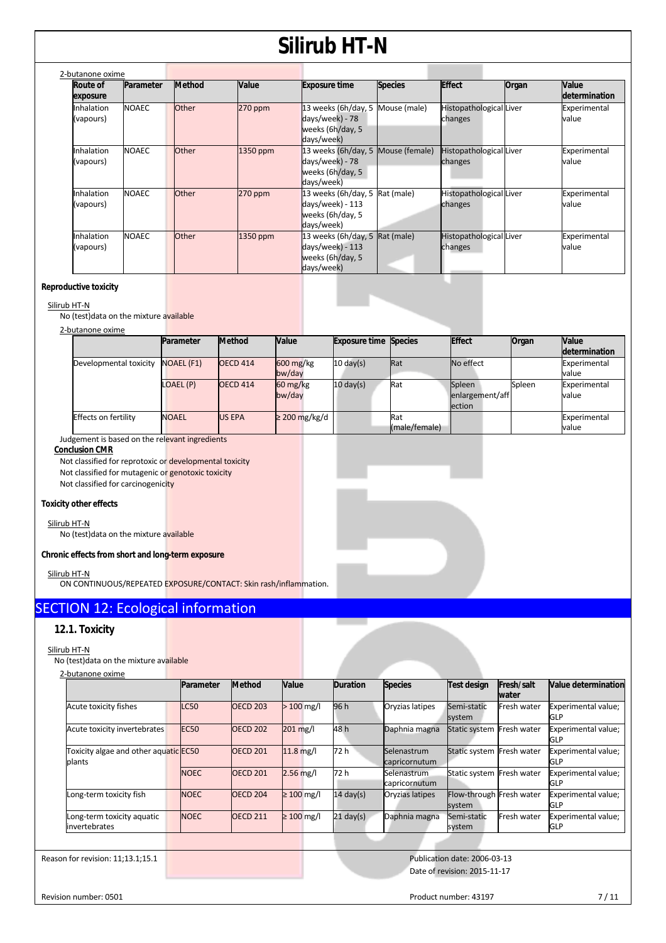| 2-butanone oxime        |              |               |           |                                                                                         |                |                                           |       |                        |
|-------------------------|--------------|---------------|-----------|-----------------------------------------------------------------------------------------|----------------|-------------------------------------------|-------|------------------------|
| Route of<br>exposure    | Parameter    | <b>Method</b> | Value     | <b>Exposure time</b>                                                                    | <b>Species</b> | <b>Effect</b>                             | Organ | Value<br>determination |
| Inhalation<br>(vapours) | <b>NOAEC</b> | <b>Other</b>  | $270$ ppm | 13 weeks (6h/day, 5<br>days/week) - 78<br>weeks (6h/day, 5<br>days/week)                | Mouse (male)   | <b>Histopathological Liver</b><br>changes |       | Experimental<br>value  |
| Inhalation<br>(vapours) | <b>NOAEC</b> | Other         | 1350 ppm  | 13 weeks (6h/day, 5 Mouse (female)<br>days/week) - 78<br>weeks (6h/day, 5<br>days/week) |                | Histopathological Liver<br>changes        |       | Experimental<br>value  |
| Inhalation<br>(vapours) | <b>NOAEC</b> | <b>Other</b>  | 270 ppm   | 13 weeks (6h/day, 5 Rat (male)<br>days/week) - 113<br>weeks (6h/day, 5<br>days/week)    |                | Histopathological Liver<br>changes        |       | Experimental<br>value  |
| Inhalation<br>(vapours) | <b>NOAEC</b> | Other         | 1350 ppm  | 13 weeks (6h/day, 5 Rat (male)<br>days/week) - 113<br>weeks (6h/day, 5<br>days/week)    |                | Histopathological Liver<br>changes        |       | Experimental<br>value  |

#### **Reproductive toxicity**

#### Silirub HT-N

No (test)data on the mixture available

#### 2-butanone oxime

|                             | Parameter         | <b>Method</b>   | <b>Value</b>                      | <b>Exposure time Species</b> |               | <b>Effect</b>   | Organ  | Value         |
|-----------------------------|-------------------|-----------------|-----------------------------------|------------------------------|---------------|-----------------|--------|---------------|
|                             |                   |                 |                                   |                              |               |                 |        | determination |
| Developmental toxicity      | <b>NOAEL (F1)</b> | <b>OECD 414</b> | $600 \frac{\text{mg}}{\text{kg}}$ | $10 \text{ day(s)}$          | Rat           | No effect       |        | Experimental  |
|                             |                   |                 | bw/day                            |                              |               |                 |        | value         |
|                             | LOAEL (P)         | <b>OECD 414</b> | $60 \frac{\text{mg}}{\text{kg}}$  | $10 \text{ day(s)}$          | Rat           | Spleen          | Spleen | Experimental  |
|                             |                   |                 | bw/day                            |                              |               | enlargement/aff |        | value         |
|                             |                   |                 |                                   |                              |               | <b>lection</b>  |        |               |
| <b>Effects on fertility</b> | <b>NOAEL</b>      | <b>US EPA</b>   | $\geq$ 200 mg/kg/d                |                              | Rat           |                 |        | Experimental  |
|                             |                   |                 |                                   |                              | (male/female) |                 |        | value         |

Judgement is based on the relevant ingredients

**Conclusion CMR** 

Not classified for reprotoxic or developmental toxicity Not classified for mutagenic or genotoxic toxicity Not classified for carcinogenicity

#### **Toxicity other effects**

#### Silirub HT-N

No (test)data on the mixture available

#### **Chronic effects from short and long-term exposure**

Silirub HT-N

ON CONTINUOUS/REPEATED EXPOSURE/CONTACT: Skin rash/inflammation.

### SECTION 12: Ecological information

### **12.1. Toxicity**

#### Silirub HT-N

No (test)data on the mixture available

| 2-butanone oxime                                |             |                 |                 |                     |                              |                                    |                            |                                   |
|-------------------------------------------------|-------------|-----------------|-----------------|---------------------|------------------------------|------------------------------------|----------------------------|-----------------------------------|
|                                                 | Parameter   | <b>Method</b>   | <b>Value</b>    | Duration            | <b>Species</b>               | <b>Test design</b>                 | <b>Fresh/salt</b><br>water | Value determination               |
| Acute toxicity fishes                           | <b>LC50</b> | <b>OECD 203</b> | $> 100$ mg/l    | 96 h                | Oryzias latipes              | Semi-static<br>system              | <b>Fresh water</b>         | Experimental value;<br><b>GLP</b> |
| Acute toxicity invertebrates                    | <b>EC50</b> | <b>OECD 202</b> | 201 mg/l        | 48 h                | Daphnia magna                | Static system                      | Fresh water                | Experimental value;<br><b>GLP</b> |
| Toxicity algae and other aquatic EC50<br>plants |             | <b>OECD 201</b> | $11.8$ mg/l     | 72 h                | Selenastrum<br>capricornutum | Static system                      | Fresh water                | Experimental value;<br><b>GLP</b> |
|                                                 | <b>NOEC</b> | <b>OECD 201</b> | $2.56$ mg/l     | 72 h                | Selenastrum<br>capricornutum | Static system Fresh water          |                            | Experimental value;<br><b>GLP</b> |
| Long-term toxicity fish                         | <b>NOEC</b> | <b>OECD 204</b> | $\geq 100$ mg/l | $14 \text{ day(s)}$ | Oryzias latipes              | Flow-through Fresh water<br>system |                            | Experimental value;<br><b>GLP</b> |
| Long-term toxicity aquatic<br>invertebrates     | <b>NOEC</b> | <b>OECD 211</b> | $\geq 100$ mg/l | $21$ day(s)         | Daphnia magna                | Semi-static<br>system              | Fresh water                | Experimental value;<br><b>GLP</b> |
|                                                 |             |                 |                 |                     |                              |                                    |                            |                                   |

Reason for revision: 11;13.1;15.1 Publication date: 2006-03-13 Date of revision: 2015-11-17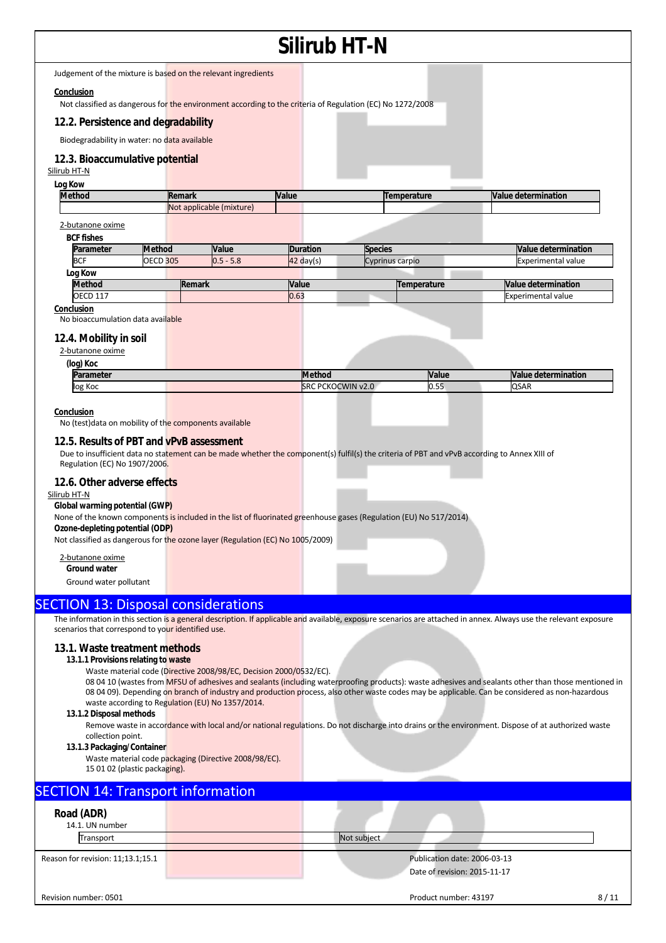### **Silirub HT-N**  Judgement of the mixture is based on the relevant ingredients **Conclusion**  Not classified as dangerous for the environment according to the criteria of Regulation (EC) No 1272/2008 **12.2. Persistence and degradability**  Biodegradability in water: no data available **12.3. Bioaccumulative potential** Silirub HT-N **Log Kow Method Remark Value Temperature Value determination** Not applicable (mixture) 2-butanone oxime **BCF fishes Parameter Method Value Duration Species Value determination** BCF 6 DECD 305 0.5 - 5.8 42 day(s) Cyprinus carpio Company experimental value **Log Kow Method Remark Value Temperature Value determination** OECD 117 **Experimental value OECD 117** Experimental value **Conclusion**  No bioaccumulation data available **12.4. Mobility in soil**  2-butanone oxime **(log) Koc Parameter Method Method Value Method Value Method Value determination**<br>
Ilog Koc (SRC PCKOCWIN v2.0 0.55 QSAR log Koc SRC PCKOCWIN v2.0 **Conclusion**  No (test)data on mobility of the components available **12.5. Results of PBT and vPvB assessment**  Due to insufficient data no statement can be made whether the component(s) fulfil(s) the criteria of PBT and vPvB according to Annex XIII of Regulation (EC) No 1907/2006. **12.6. Other adverse effects**  Silirub HT-N **Global warming potential (GWP)**  None of the known components is included in the list of fluorinated greenhouse gases (Regulation (EU) No 517/2014) **Ozone-depleting potential (ODP)**  Not classified as dangerous for the ozone layer (Regulation (EC) No 1005/2009) 2-butanone oxime **Ground water**  Ground water pollutant SECTION 13: Disposal considerations The information in this section is a general description. If applicable and available, exposure scenarios are attached in annex. Always use the relevant exposure scenarios that correspond to your identified use. **13.1. Waste treatment methods 13.1.1 Provisions relating to waste**  Waste material code (Directive 2008/98/EC, Decision 2000/0532/EC). 08 04 10 (wastes from MFSU of adhesives and sealants (including waterproofing products): waste adhesives and sealants other than those mentioned in 08 04 09). Depending on branch of industry and production process, also other waste codes may be applicable. Can be considered as non-hazardous waste according to Regulation (EU) No 1357/2014. **13.1.2 Disposal methods**  Remove waste in accordance with local and/or national regulations. Do not discharge into drains or the environment. Dispose of at authorized waste collection point. **13.1.3 Packaging/Container**  Waste material code packaging (Directive 2008/98/EC). 15 01 02 (plastic packaging). **SECTION 14: Transport information Road (ADR)**  14.1. UN number Transport Not subject Reason for revision: 11;13.1;15.1 **Publication date: 2006-03-13** Publication date: 2006-03-13 Date of revision: 2015-11-17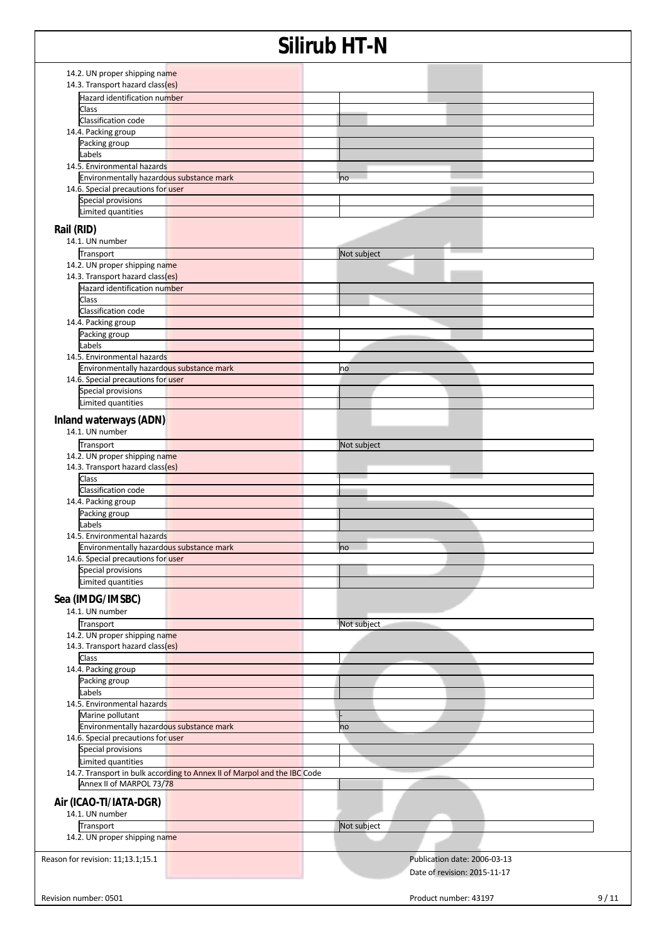| 14.2. UN proper shipping name<br>14.3. Transport hazard class(es)        |                              |      |
|--------------------------------------------------------------------------|------------------------------|------|
| <b>Hazard identification number</b>                                      |                              |      |
| Class                                                                    |                              |      |
|                                                                          |                              |      |
| Classification code                                                      |                              |      |
| 14.4. Packing group                                                      |                              |      |
| Packing group                                                            |                              |      |
| Labels                                                                   |                              |      |
| 14.5. Environmental hazards                                              |                              |      |
| Environmentally hazardous substance mark                                 | <b>no</b>                    |      |
| 14.6. Special precautions for user                                       |                              |      |
| Special provisions                                                       |                              |      |
| Limited quantities                                                       |                              |      |
|                                                                          |                              |      |
| Rail (RID)                                                               |                              |      |
| 14.1. UN number                                                          |                              |      |
| Transport                                                                | Not subject                  |      |
| 14.2. UN proper shipping name                                            |                              |      |
| 14.3. Transport hazard class(es)                                         |                              |      |
| Hazard identification number                                             |                              |      |
| Class                                                                    |                              |      |
| Classification code                                                      |                              |      |
| 14.4. Packing group                                                      |                              |      |
| Packing group                                                            |                              |      |
| Labels                                                                   |                              |      |
| 14.5. Environmental hazards                                              |                              |      |
| Environmentally hazardous substance mark                                 | no                           |      |
| 14.6. Special precautions for user                                       |                              |      |
|                                                                          |                              |      |
| Special provisions                                                       |                              |      |
| Limited quantities                                                       |                              |      |
| Inland waterways (ADN)                                                   |                              |      |
| 14.1. UN number                                                          |                              |      |
|                                                                          |                              |      |
| Transport                                                                | Not subject                  |      |
| 14.2. UN proper shipping name                                            |                              |      |
| 14.3. Transport hazard class(es)                                         |                              |      |
| Class                                                                    |                              |      |
| Classification code                                                      |                              |      |
| 14.4. Packing group                                                      |                              |      |
| Packing group                                                            |                              |      |
| Labels                                                                   |                              |      |
| 14.5. Environmental hazards                                              |                              |      |
| Environmentally hazardous substance mark                                 | <b>no</b>                    |      |
| 14.6. Special precautions for user                                       |                              |      |
| Special provisions                                                       |                              |      |
| Limited quantities                                                       |                              |      |
|                                                                          |                              |      |
| Sea (IMDG/IMSBC)                                                         |                              |      |
| 14.1. UN number                                                          |                              |      |
| Transport                                                                | Not subject                  |      |
| 14.2. UN proper shipping name                                            |                              |      |
|                                                                          |                              |      |
| 14.3. Transport hazard class(es)                                         |                              |      |
| Class                                                                    |                              |      |
| 14.4. Packing group                                                      |                              |      |
| Packing group                                                            |                              |      |
| Labels                                                                   |                              |      |
| 14.5. Environmental hazards                                              |                              |      |
| Marine pollutant                                                         |                              |      |
| Environmentally hazardous substance mark                                 | no                           |      |
| 14.6. Special precautions for user                                       |                              |      |
| Special provisions                                                       |                              |      |
| Limited quantities                                                       |                              |      |
|                                                                          |                              |      |
| 14.7. Transport in bulk according to Annex II of Marpol and the IBC Code |                              |      |
| Annex II of MARPOL 73/78                                                 |                              |      |
| Air (ICAO-TI/IATA-DGR)                                                   |                              |      |
|                                                                          |                              |      |
| 14.1. UN number                                                          |                              |      |
| Transport                                                                | Not subject                  |      |
| 14.2. UN proper shipping name                                            |                              |      |
|                                                                          |                              |      |
| Reason for revision: 11;13.1;15.1                                        | Publication date: 2006-03-13 |      |
|                                                                          | Date of revision: 2015-11-17 |      |
|                                                                          |                              |      |
| Revision number: 0501                                                    | Product number: 43197        | 9/11 |
|                                                                          |                              |      |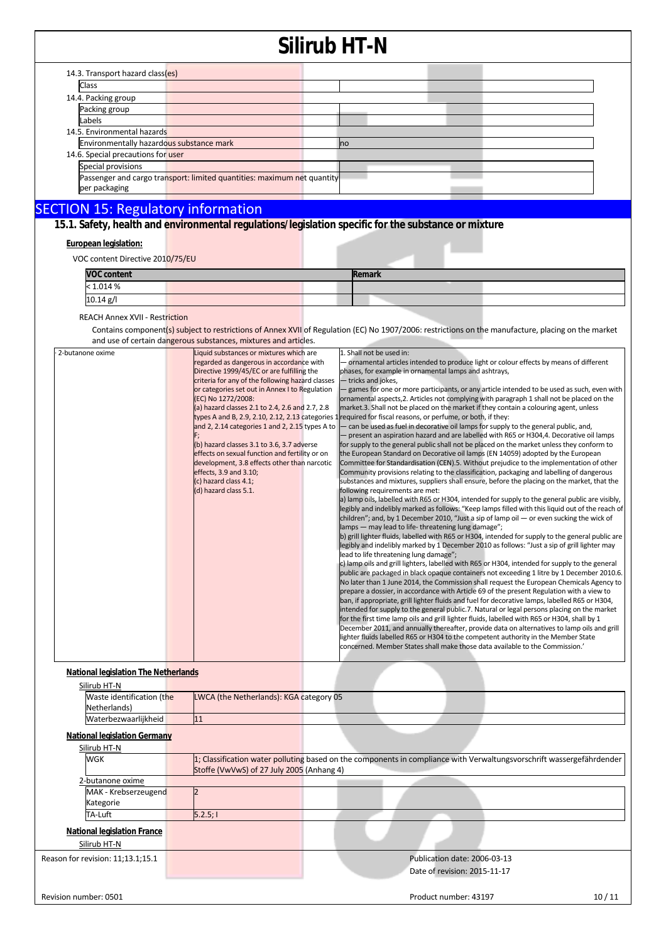| 14.3. Transport hazard class(es)                                        |           |  |  |  |  |
|-------------------------------------------------------------------------|-----------|--|--|--|--|
| Class                                                                   |           |  |  |  |  |
| 14.4. Packing group                                                     |           |  |  |  |  |
| Packing group                                                           |           |  |  |  |  |
| Labels                                                                  |           |  |  |  |  |
| 14.5. Environmental hazards                                             |           |  |  |  |  |
| Environmentally hazardous substance mark                                | <b>no</b> |  |  |  |  |
| 14.6. Special precautions for user                                      |           |  |  |  |  |
| Special provisions                                                      |           |  |  |  |  |
| Passenger and cargo transport: limited quantities: maximum net quantity |           |  |  |  |  |
| per packaging                                                           |           |  |  |  |  |

### SECTION 15: Regulatory information

**15.1. Safety, health and environmental regulations/legislation specific for the substance or mixture**

#### **European legislation:**

VOC content Directive 2010/75/EU

| <b>VOC content</b> |  | Remark |  |  |
|--------------------|--|--------|--|--|
| < 1.014 %          |  |        |  |  |
| $10.14$ g/l        |  |        |  |  |
|                    |  |        |  |  |

REACH Annex XVII - Restriction

Contains component(s) subject to restrictions of Annex XVII of Regulation (EC) No 1907/2006: restrictions on the manufacture, placing on the market and use of certain dangerous substances, mixtures and articles.

| 2-butanone oxime                            | Liquid substances or mixtures which are          | 1. Shall not be used in:                                                                                     |  |  |  |  |
|---------------------------------------------|--------------------------------------------------|--------------------------------------------------------------------------------------------------------------|--|--|--|--|
|                                             | regarded as dangerous in accordance with         | ornamental articles intended to produce light or colour effects by means of different                        |  |  |  |  |
|                                             | Directive 1999/45/EC or are fulfilling the       | phases, for example in ornamental lamps and ashtrays,                                                        |  |  |  |  |
|                                             | criteria for any of the following hazard classes | - tricks and jokes,                                                                                          |  |  |  |  |
|                                             | or categories set out in Annex I to Regulation   | - games for one or more participants, or any article intended to be used as such, even with                  |  |  |  |  |
|                                             | (EC) No 1272/2008:                               | ornamental aspects, 2. Articles not complying with paragraph 1 shall not be placed on the                    |  |  |  |  |
|                                             | (a) hazard classes 2.1 to 2.4, 2.6 and 2.7, 2.8  | market.3. Shall not be placed on the market if they contain a colouring agent, unless                        |  |  |  |  |
|                                             |                                                  | types A and B, 2.9, 2.10, 2.12, 2.13 categories 1 required for fiscal reasons, or perfume, or both, if they: |  |  |  |  |
|                                             | and 2, 2.14 categories 1 and 2, 2.15 types A to  | - can be used as fuel in decorative oil lamps for supply to the general public, and,                         |  |  |  |  |
|                                             |                                                  | - present an aspiration hazard and are labelled with R65 or H304,4. Decorative oil lamps                     |  |  |  |  |
|                                             | (b) hazard classes 3.1 to 3.6, 3.7 adverse       | for supply to the general public shall not be placed on the market unless they conform to                    |  |  |  |  |
|                                             | effects on sexual function and fertility or on   | the European Standard on Decorative oil lamps (EN 14059) adopted by the European                             |  |  |  |  |
|                                             | development, 3.8 effects other than narcotic     | Committee for Standardisation (CEN).5. Without prejudice to the implementation of other                      |  |  |  |  |
|                                             | effects, 3.9 and 3.10;                           | Community provisions relating to the classification, packaging and labelling of dangerous                    |  |  |  |  |
|                                             | (c) hazard class 4.1;                            | substances and mixtures, suppliers shall ensure, before the placing on the market, that the                  |  |  |  |  |
|                                             | (d) hazard class 5.1.                            | following requirements are met:                                                                              |  |  |  |  |
|                                             |                                                  | a) lamp oils, labelled with R65 or H304, intended for supply to the general public are visibly,              |  |  |  |  |
|                                             |                                                  | legibly and indelibly marked as follows: "Keep lamps filled with this liquid out of the reach of             |  |  |  |  |
|                                             |                                                  | children"; and, by 1 December 2010, "Just a sip of lamp oil $-$ or even sucking the wick of                  |  |  |  |  |
|                                             |                                                  | lamps - may lead to life-threatening lung damage";                                                           |  |  |  |  |
|                                             |                                                  | b) grill lighter fluids, labelled with R65 or H304, intended for supply to the general public are            |  |  |  |  |
|                                             |                                                  | legibly and indelibly marked by 1 December 2010 as follows: "Just a sip of grill lighter may                 |  |  |  |  |
|                                             |                                                  | lead to life threatening lung damage";                                                                       |  |  |  |  |
|                                             |                                                  | c) lamp oils and grill lighters, labelled with R65 or H304, intended for supply to the general               |  |  |  |  |
|                                             |                                                  | public are packaged in black opaque containers not exceeding 1 litre by 1 December 2010.6.                   |  |  |  |  |
|                                             |                                                  | No later than 1 June 2014, the Commission shall request the European Chemicals Agency to                     |  |  |  |  |
|                                             |                                                  | prepare a dossier, in accordance with Article 69 of the present Regulation with a view to                    |  |  |  |  |
|                                             |                                                  | ban, if appropriate, grill lighter fluids and fuel for decorative lamps, labelled R65 or H304,               |  |  |  |  |
|                                             |                                                  | intended for supply to the general public.7. Natural or legal persons placing on the market                  |  |  |  |  |
|                                             |                                                  | for the first time lamp oils and grill lighter fluids, labelled with R65 or H304, shall by 1                 |  |  |  |  |
|                                             |                                                  | December 2011, and annually thereafter, provide data on alternatives to lamp oils and grill                  |  |  |  |  |
|                                             |                                                  | lighter fluids labelled R65 or H304 to the competent authority in the Member State                           |  |  |  |  |
|                                             |                                                  | concerned. Member States shall make those data available to the Commission.'                                 |  |  |  |  |
|                                             |                                                  |                                                                                                              |  |  |  |  |
| <b>National legislation The Netherlands</b> |                                                  |                                                                                                              |  |  |  |  |
|                                             |                                                  |                                                                                                              |  |  |  |  |
| Silirub HT-N                                |                                                  |                                                                                                              |  |  |  |  |
| Waste identification (the                   | LWCA (the Netherlands): KGA category 05          |                                                                                                              |  |  |  |  |

Netherlands) Waterbezwaarlijkheid 11 **National legislation Germany**  Silirub HT-N WGK 1; Classification water polluting based on the components in compliance with Verwaltungsvorschrift wassergefährdender Stoffe (VwVwS) of 27 July 2005 (Anhang 4) 2-butanone oxime MAK - Krebserzeugend Kategorie 2 TA-Luft 5.2.5; I **National legislation France**  Silirub HT-N Reason for revision: 11;13.1;15.1 Publication date: 2006-03-13 Date of revision: 2015-11-17 Revision number: 0501 10 / 11